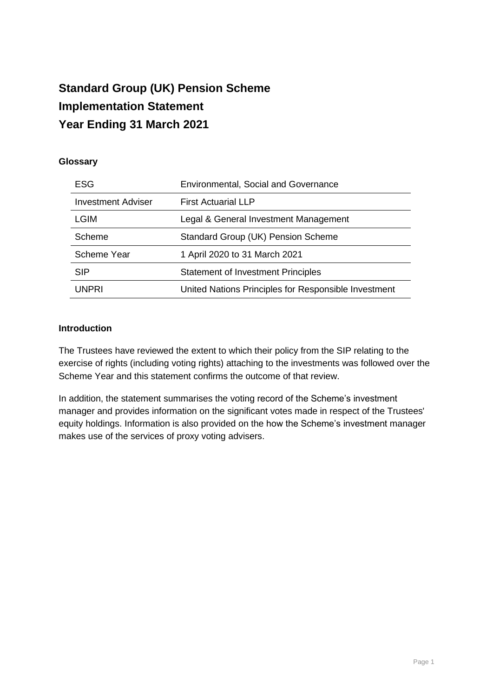# **Standard Group (UK) Pension Scheme Implementation Statement Year Ending 31 March 2021**

## **Glossary**

| ESG                       | <b>Environmental, Social and Governance</b>          |
|---------------------------|------------------------------------------------------|
| <b>Investment Adviser</b> | <b>First Actuarial LLP</b>                           |
| LGIM                      | Legal & General Investment Management                |
| Scheme                    | Standard Group (UK) Pension Scheme                   |
| Scheme Year               | 1 April 2020 to 31 March 2021                        |
| <b>SIP</b>                | <b>Statement of Investment Principles</b>            |
| UNPRI                     | United Nations Principles for Responsible Investment |

#### **Introduction**

The Trustees have reviewed the extent to which their policy from the SIP relating to the exercise of rights (including voting rights) attaching to the investments was followed over the Scheme Year and this statement confirms the outcome of that review.

In addition, the statement summarises the voting record of the Scheme's investment manager and provides information on the significant votes made in respect of the Trustees' equity holdings. Information is also provided on the how the Scheme's investment manager makes use of the services of proxy voting advisers.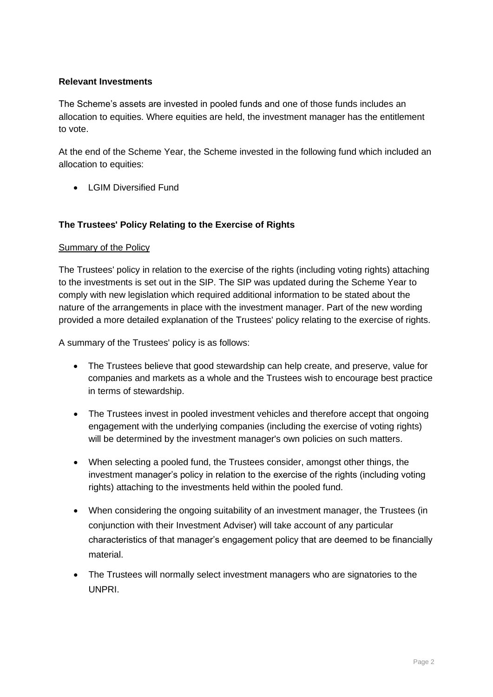## **Relevant Investments**

The Scheme's assets are invested in pooled funds and one of those funds includes an allocation to equities. Where equities are held, the investment manager has the entitlement to vote.

At the end of the Scheme Year, the Scheme invested in the following fund which included an allocation to equities:

• I GIM Diversified Fund

## **The Trustees' Policy Relating to the Exercise of Rights**

#### **Summary of the Policy**

The Trustees' policy in relation to the exercise of the rights (including voting rights) attaching to the investments is set out in the SIP. The SIP was updated during the Scheme Year to comply with new legislation which required additional information to be stated about the nature of the arrangements in place with the investment manager. Part of the new wording provided a more detailed explanation of the Trustees' policy relating to the exercise of rights.

A summary of the Trustees' policy is as follows:

- The Trustees believe that good stewardship can help create, and preserve, value for companies and markets as a whole and the Trustees wish to encourage best practice in terms of stewardship.
- The Trustees invest in pooled investment vehicles and therefore accept that ongoing engagement with the underlying companies (including the exercise of voting rights) will be determined by the investment manager's own policies on such matters.
- When selecting a pooled fund, the Trustees consider, amongst other things, the investment manager's policy in relation to the exercise of the rights (including voting rights) attaching to the investments held within the pooled fund.
- When considering the ongoing suitability of an investment manager, the Trustees (in conjunction with their Investment Adviser) will take account of any particular characteristics of that manager's engagement policy that are deemed to be financially material.
- The Trustees will normally select investment managers who are signatories to the UNPRI.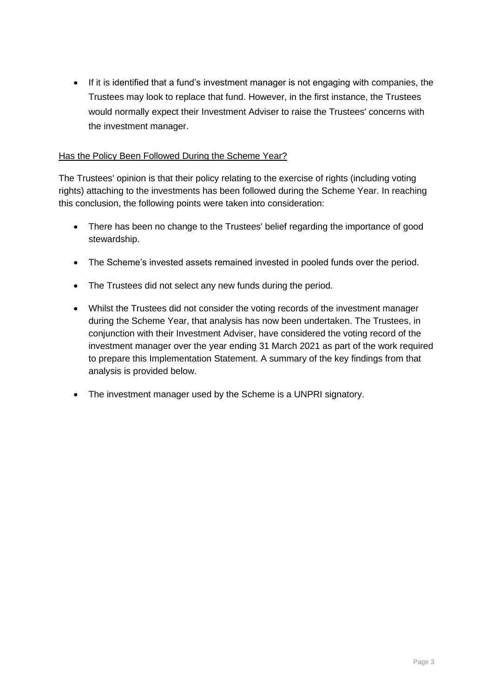• If it is identified that a fund's investment manager is not engaging with companies, the Trustees may look to replace that fund. However, in the first instance, the Trustees would normally expect their Investment Adviser to raise the Trustees' concerns with the investment manager.

## Has the Policy Been Followed During the Scheme Year?

The Trustees' opinion is that their policy relating to the exercise of rights (including voting rights) attaching to the investments has been followed during the Scheme Year. In reaching this conclusion, the following points were taken into consideration:

- There has been no change to the Trustees' belief regarding the importance of good stewardship.
- The Scheme's invested assets remained invested in pooled funds over the period.
- The Trustees did not select any new funds during the period.
- Whilst the Trustees did not consider the voting records of the investment manager during the Scheme Year, that analysis has now been undertaken. The Trustees, in conjunction with their Investment Adviser, have considered the voting record of the investment manager over the year ending 31 March 2021 as part of the work required to prepare this Implementation Statement. A summary of the key findings from that analysis is provided below.
- The investment manager used by the Scheme is a UNPRI signatory.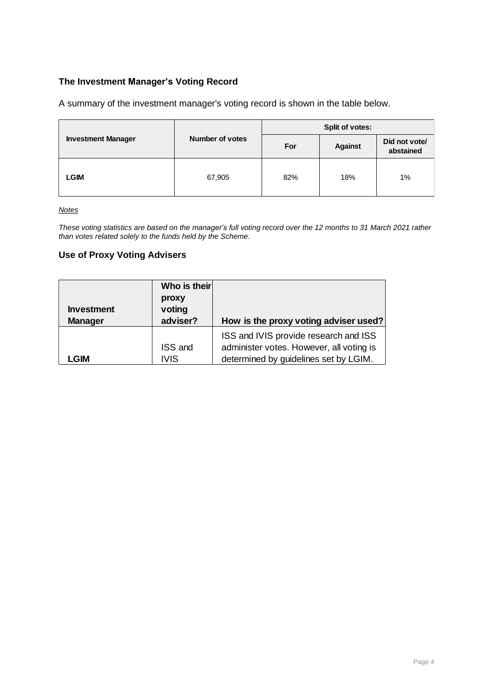## **The Investment Manager's Voting Record**

A summary of the investment manager's voting record is shown in the table below.

| <b>Investment Manager</b> |                        | Split of votes: |                                              |    |  |
|---------------------------|------------------------|-----------------|----------------------------------------------|----|--|
|                           | <b>Number of votes</b> | For             | Did not vote/<br><b>Against</b><br>abstained |    |  |
| <b>LGIM</b>               | 67,905                 | 82%             | 18%                                          | 1% |  |

*Notes*

*These voting statistics are based on the manager's full voting record over the 12 months to 31 March 2021 rather than votes related solely to the funds held by the Scheme.*

#### **Use of Proxy Voting Advisers**

| <b>Investment</b> | Who is their<br>proxy<br>voting |                                          |
|-------------------|---------------------------------|------------------------------------------|
|                   |                                 |                                          |
| <b>Manager</b>    | adviser?                        | How is the proxy voting adviser used?    |
|                   |                                 | ISS and IVIS provide research and ISS    |
|                   | ISS and                         | administer votes. However, all voting is |
| _GIM              | <b>IVIS</b>                     | determined by guidelines set by LGIM.    |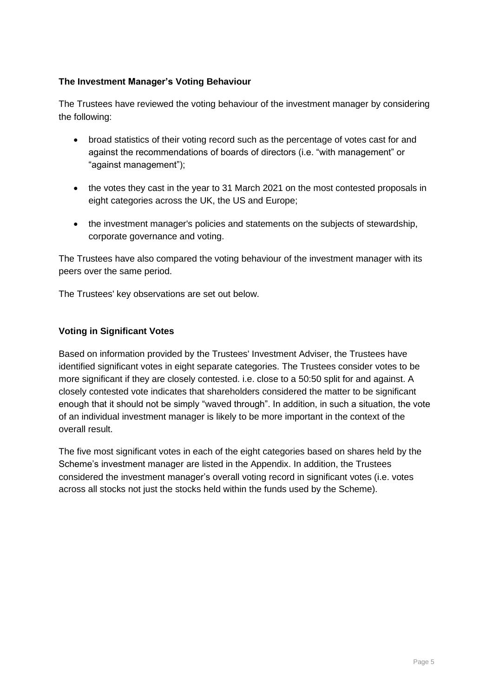## **The Investment Manager's Voting Behaviour**

The Trustees have reviewed the voting behaviour of the investment manager by considering the following:

- broad statistics of their voting record such as the percentage of votes cast for and against the recommendations of boards of directors (i.e. "with management" or "against management");
- the votes they cast in the year to 31 March 2021 on the most contested proposals in eight categories across the UK, the US and Europe;
- the investment manager's policies and statements on the subjects of stewardship, corporate governance and voting.

The Trustees have also compared the voting behaviour of the investment manager with its peers over the same period.

The Trustees' key observations are set out below.

## **Voting in Significant Votes**

Based on information provided by the Trustees' Investment Adviser, the Trustees have identified significant votes in eight separate categories. The Trustees consider votes to be more significant if they are closely contested. i.e. close to a 50:50 split for and against. A closely contested vote indicates that shareholders considered the matter to be significant enough that it should not be simply "waved through". In addition, in such a situation, the vote of an individual investment manager is likely to be more important in the context of the overall result.

The five most significant votes in each of the eight categories based on shares held by the Scheme's investment manager are listed in the Appendix. In addition, the Trustees considered the investment manager's overall voting record in significant votes (i.e. votes across all stocks not just the stocks held within the funds used by the Scheme).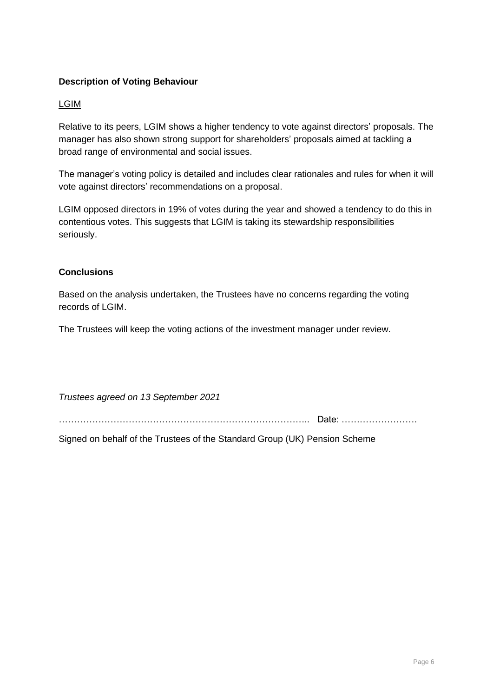## **Description of Voting Behaviour**

## LGIM

Relative to its peers, LGIM shows a higher tendency to vote against directors' proposals. The manager has also shown strong support for shareholders' proposals aimed at tackling a broad range of environmental and social issues.

The manager's voting policy is detailed and includes clear rationales and rules for when it will vote against directors' recommendations on a proposal.

LGIM opposed directors in 19% of votes during the year and showed a tendency to do this in contentious votes. This suggests that LGIM is taking its stewardship responsibilities seriously.

## **Conclusions**

Based on the analysis undertaken, the Trustees have no concerns regarding the voting records of LGIM.

The Trustees will keep the voting actions of the investment manager under review.

*Trustees agreed on 13 September 2021*

……………………………………………………………………….. Date: …………………….

Signed on behalf of the Trustees of the Standard Group (UK) Pension Scheme